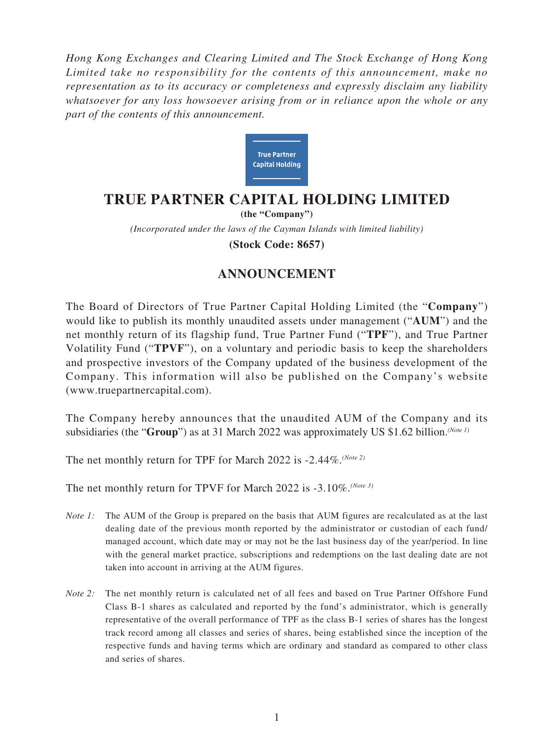*Hong Kong Exchanges and Clearing Limited and The Stock Exchange of Hong Kong Limited take no responsibility for the contents of this announcement, make no representation as to its accuracy or completeness and expressly disclaim any liability whatsoever for any loss howsoever arising from or in reliance upon the whole or any part of the contents of this announcement.*



## **TRUE PARTNER CAPITAL HOLDING LIMITED**

*(Incorporated under the laws of the Cayman Islands with limited liability)* **(the "Company") (Stock Code: 8657)**

## **ANNOUNCEMENT**

The Board of Directors of True Partner Capital Holding Limited (the "**Company**") would like to publish its monthly unaudited assets under management ("**AUM**") and the net monthly return of its flagship fund, True Partner Fund ("**TPF**"), and True Partner Volatility Fund ("**TPVF**"), on a voluntary and periodic basis to keep the shareholders and prospective investors of the Company updated of the business development of the Company. This information will also be published on the Company's website (www.truepartnercapital.com).

The Company hereby announces that the unaudited AUM of the Company and its subsidiaries (the "**Group**") as at 31 March 2022 was approximately US \$1.62 billion.*(Note 1)*

The net monthly return for TPF for March 2022 is -2.44%.*(Note 2)*

The net monthly return for TPVF for March 2022 is -3.10%.*(Note 3)*

- *Note 1:* The AUM of the Group is prepared on the basis that AUM figures are recalculated as at the last dealing date of the previous month reported by the administrator or custodian of each fund/ managed account, which date may or may not be the last business day of the year/period. In line with the general market practice, subscriptions and redemptions on the last dealing date are not taken into account in arriving at the AUM figures.
- *Note 2:* The net monthly return is calculated net of all fees and based on True Partner Offshore Fund Class B-1 shares as calculated and reported by the fund's administrator, which is generally representative of the overall performance of TPF as the class B-1 series of shares has the longest track record among all classes and series of shares, being established since the inception of the respective funds and having terms which are ordinary and standard as compared to other class and series of shares.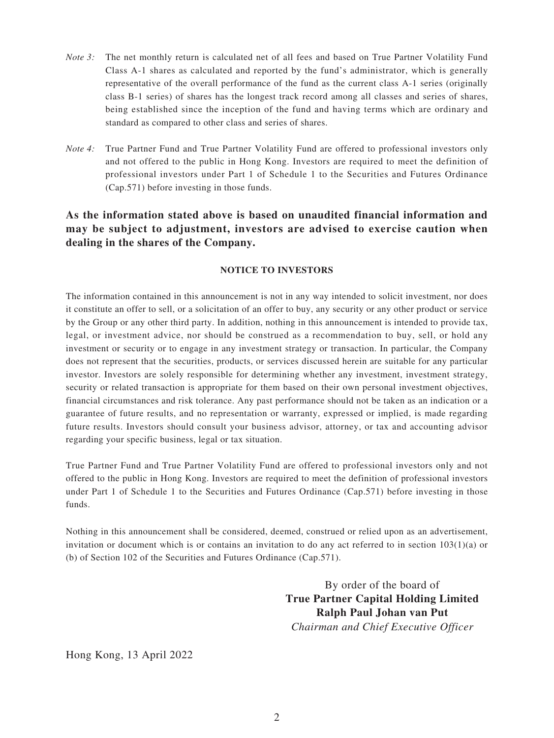- *Note 3:* The net monthly return is calculated net of all fees and based on True Partner Volatility Fund Class A-1 shares as calculated and reported by the fund's administrator, which is generally representative of the overall performance of the fund as the current class A-1 series (originally class B-1 series) of shares has the longest track record among all classes and series of shares, being established since the inception of the fund and having terms which are ordinary and standard as compared to other class and series of shares.
- *Note 4:* True Partner Fund and True Partner Volatility Fund are offered to professional investors only and not offered to the public in Hong Kong. Investors are required to meet the definition of professional investors under Part 1 of Schedule 1 to the Securities and Futures Ordinance (Cap.571) before investing in those funds.

## **As the information stated above is based on unaudited financial information and may be subject to adjustment, investors are advised to exercise caution when dealing in the shares of the Company.**

## **NOTICE TO INVESTORS**

The information contained in this announcement is not in any way intended to solicit investment, nor does it constitute an offer to sell, or a solicitation of an offer to buy, any security or any other product or service by the Group or any other third party. In addition, nothing in this announcement is intended to provide tax, legal, or investment advice, nor should be construed as a recommendation to buy, sell, or hold any investment or security or to engage in any investment strategy or transaction. In particular, the Company does not represent that the securities, products, or services discussed herein are suitable for any particular investor. Investors are solely responsible for determining whether any investment, investment strategy, security or related transaction is appropriate for them based on their own personal investment objectives, financial circumstances and risk tolerance. Any past performance should not be taken as an indication or a guarantee of future results, and no representation or warranty, expressed or implied, is made regarding future results. Investors should consult your business advisor, attorney, or tax and accounting advisor regarding your specific business, legal or tax situation.

True Partner Fund and True Partner Volatility Fund are offered to professional investors only and not offered to the public in Hong Kong. Investors are required to meet the definition of professional investors under Part 1 of Schedule 1 to the Securities and Futures Ordinance (Cap.571) before investing in those funds.

Nothing in this announcement shall be considered, deemed, construed or relied upon as an advertisement, invitation or document which is or contains an invitation to do any act referred to in section  $103(1)(a)$  or (b) of Section 102 of the Securities and Futures Ordinance (Cap.571).

> By order of the board of **True Partner Capital Holding Limited Ralph Paul Johan van Put** *Chairman and Chief Executive Officer*

Hong Kong, 13 April 2022